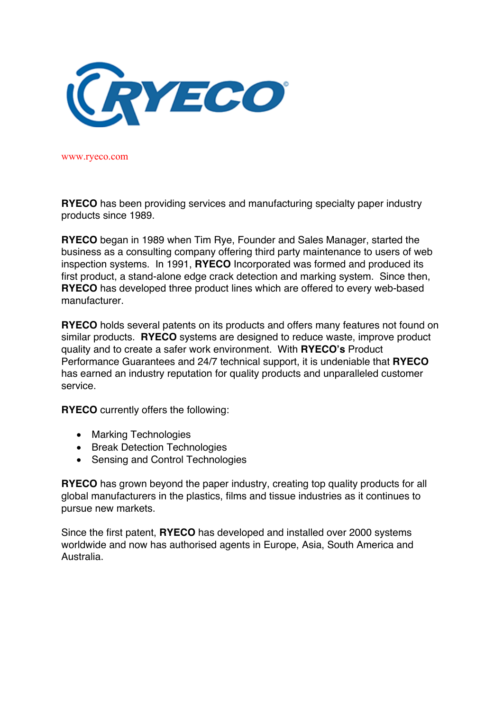

www.ryeco.com

**RYECO** has been providing services and manufacturing specialty paper industry products since 1989.

**RYECO** began in 1989 when Tim Rye, Founder and Sales Manager, started the business as a consulting company offering third party maintenance to users of web inspection systems. In 1991, **RYECO** Incorporated was formed and produced its first product, a stand-alone edge crack detection and marking system. Since then, **RYECO** has developed three product lines which are offered to every web-based manufacturer.

**RYECO** holds several patents on its products and offers many features not found on similar products. **RYECO** systems are designed to reduce waste, improve product quality and to create a safer work environment. With **RYECO's** Product Performance Guarantees and 24/7 technical support, it is undeniable that **RYECO**  has earned an industry reputation for quality products and unparalleled customer service.

**RYECO** currently offers the following:

- Marking Technologies
- Break Detection Technologies
- Sensing and Control Technologies

**RYECO** has grown beyond the paper industry, creating top quality products for all global manufacturers in the plastics, films and tissue industries as it continues to pursue new markets.

Since the first patent, **RYECO** has developed and installed over 2000 systems worldwide and now has authorised agents in Europe, Asia, South America and Australia.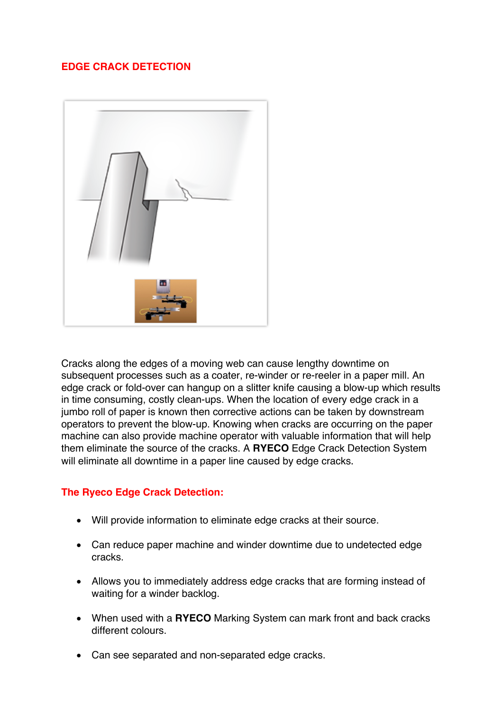# **EDGE CRACK DETECTION**



Cracks along the edges of a moving web can cause lengthy downtime on subsequent processes such as a coater, re-winder or re-reeler in a paper mill. An edge crack or fold-over can hangup on a slitter knife causing a blow-up which results in time consuming, costly clean-ups. When the location of every edge crack in a jumbo roll of paper is known then corrective actions can be taken by downstream operators to prevent the blow-up. Knowing when cracks are occurring on the paper machine can also provide machine operator with valuable information that will help them eliminate the source of the cracks. A **RYECO** Edge Crack Detection System will eliminate all downtime in a paper line caused by edge cracks.

# **The Ryeco Edge Crack Detection:**

- Will provide information to eliminate edge cracks at their source.
- Can reduce paper machine and winder downtime due to undetected edge cracks.
- Allows you to immediately address edge cracks that are forming instead of waiting for a winder backlog.
- When used with a **RYECO** Marking System can mark front and back cracks different colours.
- Can see separated and non-separated edge cracks.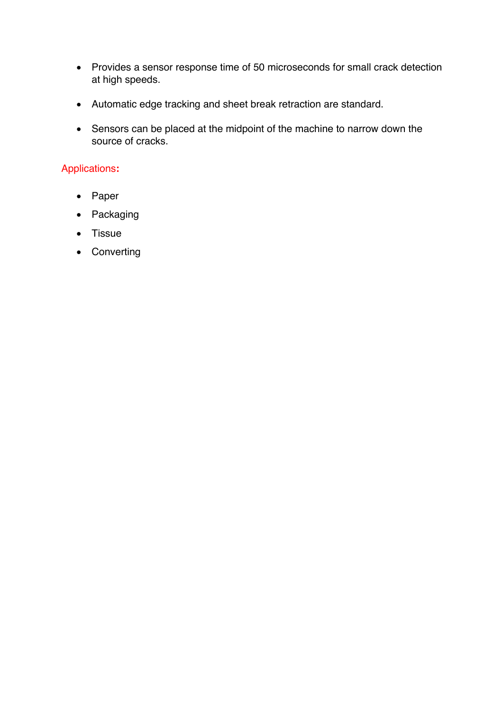- Provides a sensor response time of 50 microseconds for small crack detection at high speeds.
- Automatic edge tracking and sheet break retraction are standard.
- Sensors can be placed at the midpoint of the machine to narrow down the source of cracks.

# Applications**:**

- Paper
- Packaging
- Tissue
- Converting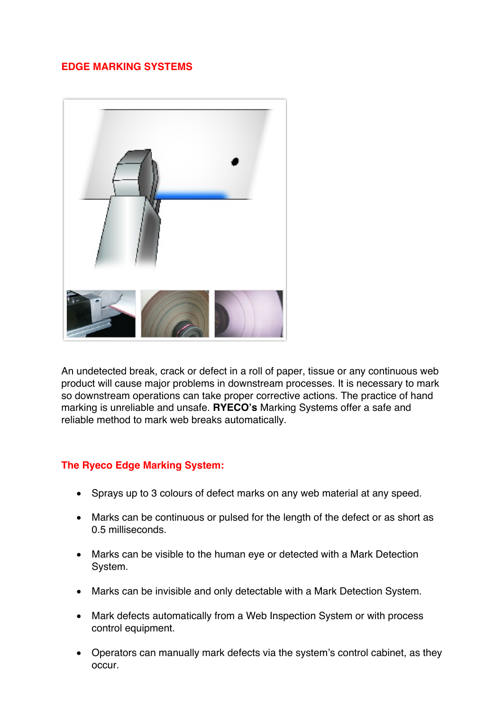# **EDGE MARKING SYSTEMS**



An undetected break, crack or defect in a roll of paper, tissue or any continuous web product will cause major problems in downstream processes. It is necessary to mark so downstream operations can take proper corrective actions. The practice of hand marking is unreliable and unsafe. **RYECO's** Marking Systems offer a safe and reliable method to mark web breaks automatically.

# **The Ryeco Edge Marking System:**

- Sprays up to 3 colours of defect marks on any web material at any speed.
- Marks can be continuous or pulsed for the length of the defect or as short as 0.5 milliseconds.
- Marks can be visible to the human eye or detected with a Mark Detection System.
- Marks can be invisible and only detectable with a Mark Detection System.
- Mark defects automatically from a Web Inspection System or with process control equipment.
- Operators can manually mark defects via the system's control cabinet, as they occur.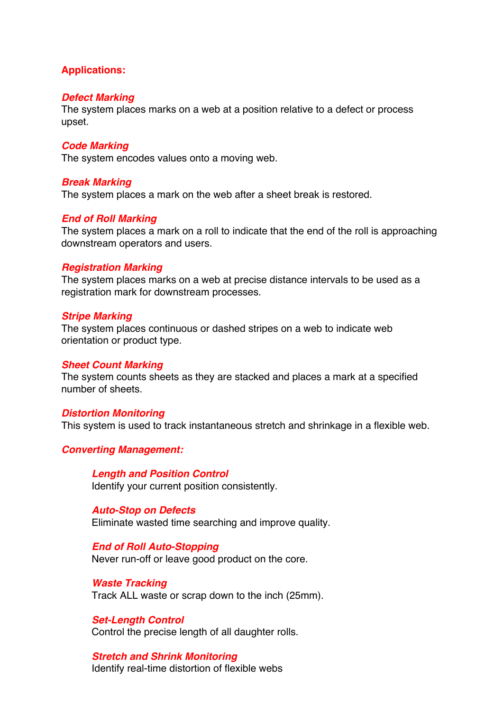# **Applications:**

## *Defect Marking*

The system places marks on a web at a position relative to a defect or process upset.

## *Code Marking*

The system encodes values onto a moving web.

## *Break Marking*

The system places a mark on the web after a sheet break is restored.

## *End of Roll Marking*

The system places a mark on a roll to indicate that the end of the roll is approaching downstream operators and users.

## *Registration Marking*

The system places marks on a web at precise distance intervals to be used as a registration mark for downstream processes.

#### *Stripe Marking*

The system places continuous or dashed stripes on a web to indicate web orientation or product type.

## *Sheet Count Marking*

The system counts sheets as they are stacked and places a mark at a specified number of sheets.

## *Distortion Monitoring*

This system is used to track instantaneous stretch and shrinkage in a flexible web.

## *Converting Management:*

*Length and Position Control* Identify your current position consistently.

*Auto-Stop on Defects* Eliminate wasted time searching and improve quality.

#### *End of Roll Auto-Stopping*

Never run-off or leave good product on the core.

*Waste Tracking* Track ALL waste or scrap down to the inch (25mm).

*Set-Length Control* Control the precise length of all daughter rolls.

*Stretch and Shrink Monitoring* Identify real-time distortion of flexible webs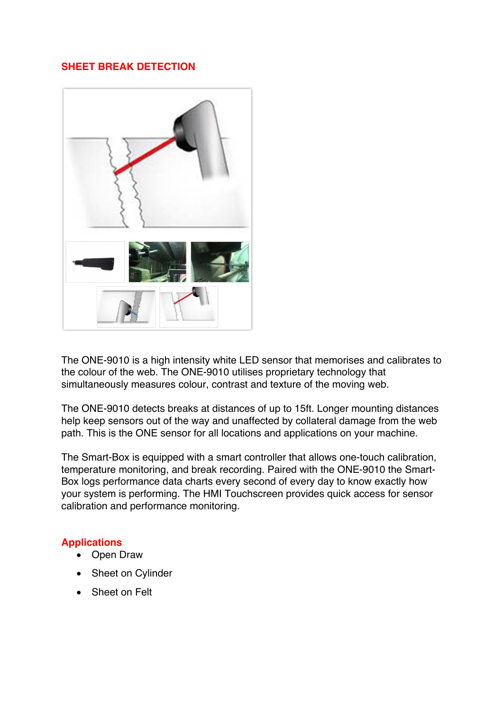# **SHEET BREAK DETECTION**



The ONE-9010 is a high intensity white LED sensor that memorises and calibrates to the colour of the web. The ONE-9010 utilises proprietary technology that simultaneously measures colour, contrast and texture of the moving web.

The ONE-9010 detects breaks at distances of up to 15ft. Longer mounting distances help keep sensors out of the way and unaffected by collateral damage from the web path. This is the ONE sensor for all locations and applications on your machine.

The Smart-Box is equipped with a smart controller that allows one-touch calibration, temperature monitoring, and break recording. Paired with the ONE-9010 the Smart-Box logs performance data charts every second of every day to know exactly how your system is performing. The HMI Touchscreen provides quick access for sensor calibration and performance monitoring.

# **Applications**

- Open Draw
- Sheet on Cylinder
- Sheet on Felt